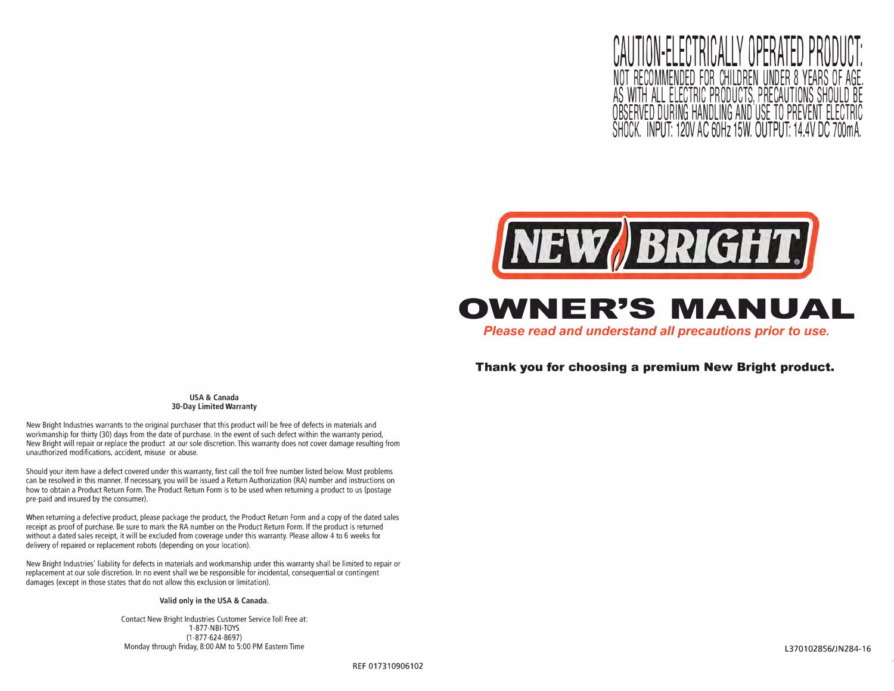<u>JUN-FLEGIRIGALLY OPERA</u> NOT RECOMMENDED FOR CHILDREN UNDER 8 YEARS OF AGE. AS WITH ALL ELECTRIC PRODUCTS, PRECAUTIONS SHOULD BE VED DURING HANDLING AND 'USE TO ŚHOCK. INPUT: 120V AC 60Hz 15W. OUTPUT:



**OWNER'S MANUAL** 

*Please read and understand all precautions prior to use.* 

### **Thank you for choosing a premium New Bright product.**

**USA & Canada 30-Day Limited Warranty** 

New Bright Industries warrants to the original purchaser that this product will be free of defects in materials and workmanship for thirty (30) days from the date of purchase. In the event of such defect within the warranty period, New Bright will repair or replace the product at our sole discretion. This warranty does not cover damage resulting from unauthorized modifications, accident, misuse or abuse.

Should your item have a defect covered under this warranty, first call the toll free number listed below. Most problems can be resolved in this manner. If necessary, you will be issued a Return Authorization (RA) number and instructions on how to obtain a Product Return Form. The Product Return Form is to be used when returning a product to us (postage pre-paid and insured by the consumer).

When returning a defective product, please package the product, the Product Return Form and a copy of the dated sales receipt as proof of purchase. Be sure to mark the RA number on the Product Return Form. If the product is returned without a dated sales receipt, it will be excluded from coverage under this warranty. Please allow 4 to 6 weeks for delivery of repaired or replacement robots (depending on your location).

New Bright Industries' liability for defects in materials and workmanship under this warranty shall be limited to repair or replacement at our sole discretion. In no event shall we be responsible for incidental, consequential or contingent damages (except in those states that do not allow this exclusion or limitation).

#### **Valid only in the USA & Canada.**

Contact New Bright Industries Customer Service Toll Free at: 1-877-NBI-TOYS (1-877-624-8697) Monday through Friday, 8:00 AM to 5:00 PM Eastern Time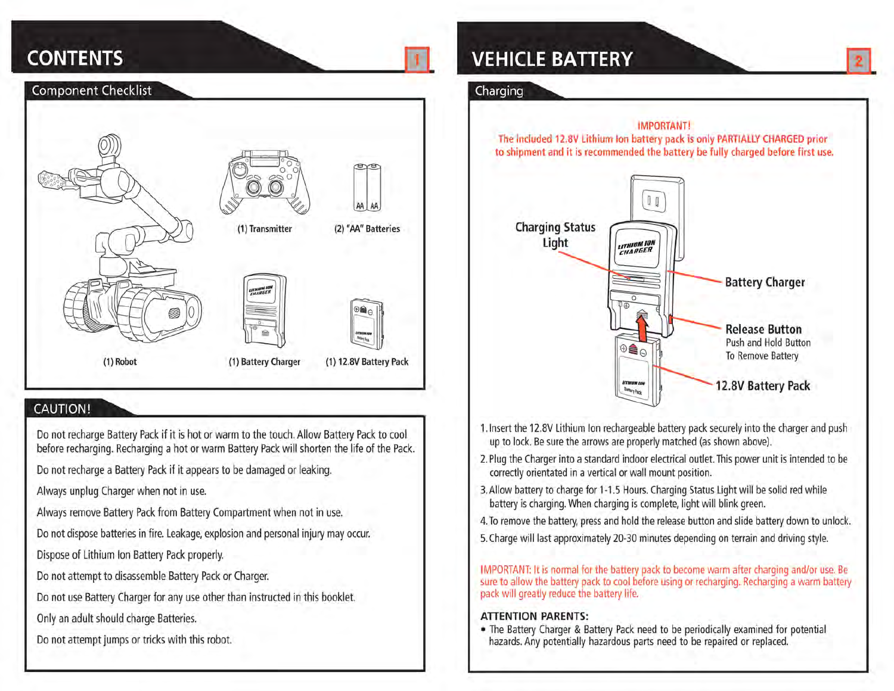# **CONTENTS**



## **CAUTION!**

Do not recharge Battery Pack if it is hot or warm to the touch. Allow Battery Pack to cool before recharging. Recharging a hot or warm Battery Pack will shorten the life of the Pack.

Do not recharge a Battery Pack if it appears to be damaged or leaking.

Always unplug Charger when not in use.

Always remove Battery Pack from Battery Compartment when not in use.

Do not dispose batteries in fire. Leakage, explosion and personal injury may occur.

Dispose of Lithium Ion Battery Pack properly.

Do not attempt to disassemble Battery Pack or Charger.

Do not use Battery Charger for any use other than instructed in this booklet.

Only an adult should charge Batteries.

Do not attempt jumps or tricks with this robot.

# **VEHICLE BATTERY**

### Charging



- 1. Insert the 12.8V Lithium Ion rechargeable battery pack securely into the charger and push up to lock. Be sure the arrows are properly matched (as shown above).
- 2. Plug the Charger into a standard indoor electrical outlet. This power unit is intended to be correctly orientated in a vertical or wall mount position.
- 3. Allow battery to charge for 1-1.5 Hours. Charging Status Light will be solid red while battery is charging. When charging is complete, light will blink green.
- 4. To remove the battery, press and hold the release button and slide battery down to unlock.
- 5. Charge will last approximately 20-30 minutes depending on terrain and driving style.

IMPORTANT: It is normal for the battery pack to become warm after charging and/or use. Be sure to allow the battery pack to cool before using or recharging. Recharging a warm battery pack will greatly reduce the battery life.

### **ATTENTION PARENTS:**

. The Battery Charger & Battery Pack need to be periodically examined for potential hazards. Any potentially hazardous parts need to be repaired or replaced.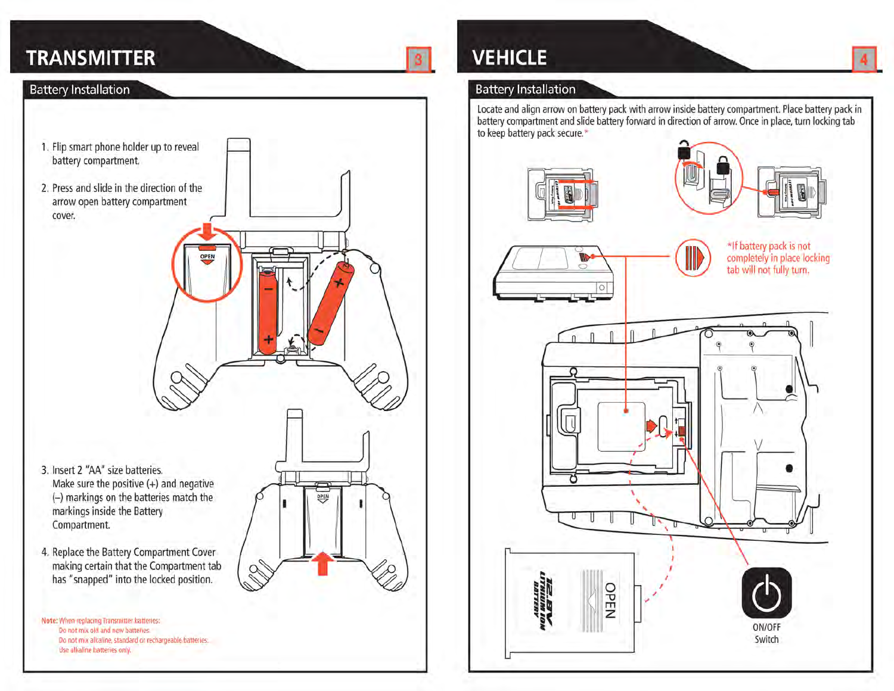# **TRANSMITTER**

### **Battery Installation**



# **VEHICLE**

### **Battery Installation**

battery compartment and slide battery forward in direction of arrow. Once in place, turn locking tab to keep battery pack secure."

Locate and align arrow on battery pack with arrow inside battery compartment. Place battery pack in









OPEN ON/OFF Switch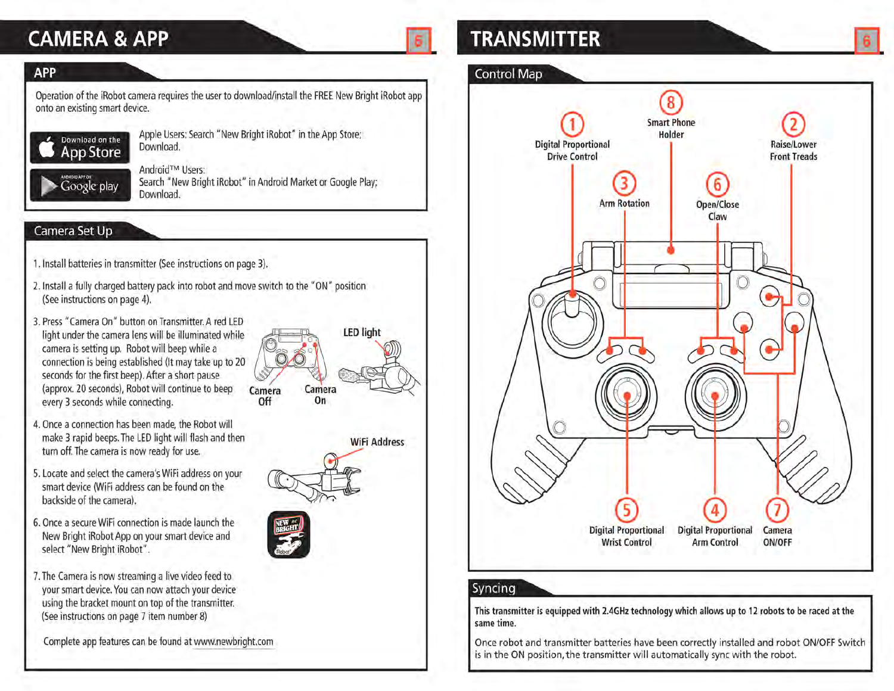# **CAMERA & APP**

## **APP**

Operation of the iRobot camera requires the user to download/install the FREE New Bright iRobot app onto an existing smart device.



Google play

Apple Users: Search "New Bright iRobot" in the App Store; Download.

Android™ Users: Search "New Bright iRobot" in Android Market or Google Play; Download.

## Camera Set Up

- 1. Install batteries in transmitter (See instructions on page 3).
- 2. Install a fully charged battery pack into robot and move switch to the "ON" position (See instructions on page 4).
- 3. Press "Camera On" button on Transmitter. A red LED light under the camera lens will be illuminated while camera is setting up. Robot will beep while a connection is being established (It may take up to 20 seconds for the first beep). After a short pause (approx. 20 seconds), Robot will continue to beep every 3 seconds while connecting.
- 4. Once a connection has been made, the Robot will make 3 rapid beeps. The LED light will flash and then turn off. The camera is now ready for use.
- 5. Locate and select the camera's WiFi address on your smart device (WiFi address can be found on the backside of the camera).
- 6. Once a secure WiFi connection is made launch the New Bright iRobot App on your smart device and select "New Bright iRobot".
- 7. The Camera is now streaming a live video feed to your smart device. You can now attach your device using the bracket mount on top of the transmitter. (See instructions on page 7 item number 8)

Complete app features can be found at www.newbright.com



**WiFi Address** 



# **TRANSMITTER**

## **Control Map**



## Syncing

This transmitter is equipped with 2.4GHz technology which allows up to 12 robots to be raced at the same time.

Once robot and transmitter batteries have been correctly installed and robot ON/OFF Switch is in the ON position, the transmitter will automatically sync with the robot.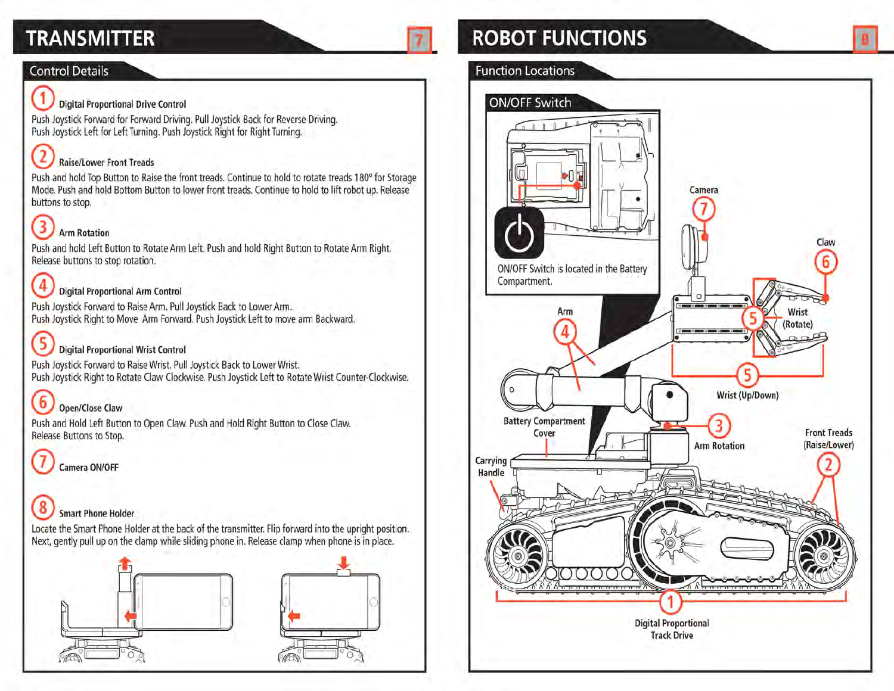# **TRANSMITTER**

## **Control Details**

### **Digital Proportional Drive Control**

Push Joystick Forward for Forward Driving. Pull Joystick Back for Reverse Driving. Push Joystick Left for Left Turning. Push Joystick Right for Right Turning.

### **Raise/Lower Front Treads**

Push and hold Top Button to Raise the front treads. Continue to hold to rotate treads 180° for Storage Mode. Push and hold Bottom Button to lower front treads. Continue to hold to lift robot up. Release buttons to stop.

#### 3 **Arm Rotation**

Push and hold Left Button to Rotate Arm Left. Push and hold Right Button to Rotate Arm Right. Release buttons to stop rotation.

## **Digital Proportional Arm Control**

Push Joystick Forward to Raise Arm. Pull Joystick Back to Lower Arm. Push Joystick Right to Move Arm Forward. Push Joystick Left to move arm Backward.

#### 5 **Digital Proportional Wrist Control**

Push Joystick Forward to Raise Wrist. Pull Joystick Back to Lower Wrist. Push Joystick Right to Rotate Claw Clockwise. Push Joystick Left to Rotate Wrist Counter-Clockwise.

#### 6 **Open/Close Claw**

Push and Hold Left Button to Open Claw. Push and Hold Right Button to Close Claw. Release Buttons to Stop.

Camera ON/OFF

#### 8 **Smart Phone Holder**

Locate the Smart Phone Holder at the back of the transmitter. Flip forward into the upright position. Next, gently pull up on the clamp while sliding phone in. Release clamp when phone is in place.



# **ROBOT FUNCTIONS**

### **Function Locations**

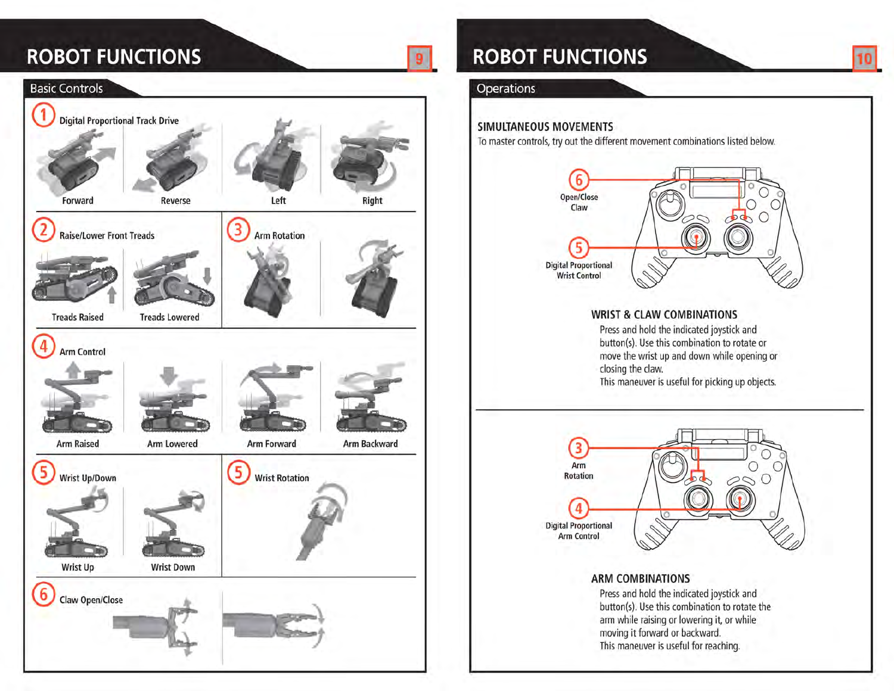# **ROBOT FUNCTIONS**



# **ROBOT FUNCTIONS**

### Operations

 $\overline{9}$ 

### **SIMULTANEOUS MOVEMENTS**

To master controls, try out the different movement combinations listed below.



10



## **ARM COMBINATIONS**

Press and hold the indicated joystick and button(s). Use this combination to rotate the arm while raising or lowering it, or while moving it forward or backward. This maneuver is useful for reaching.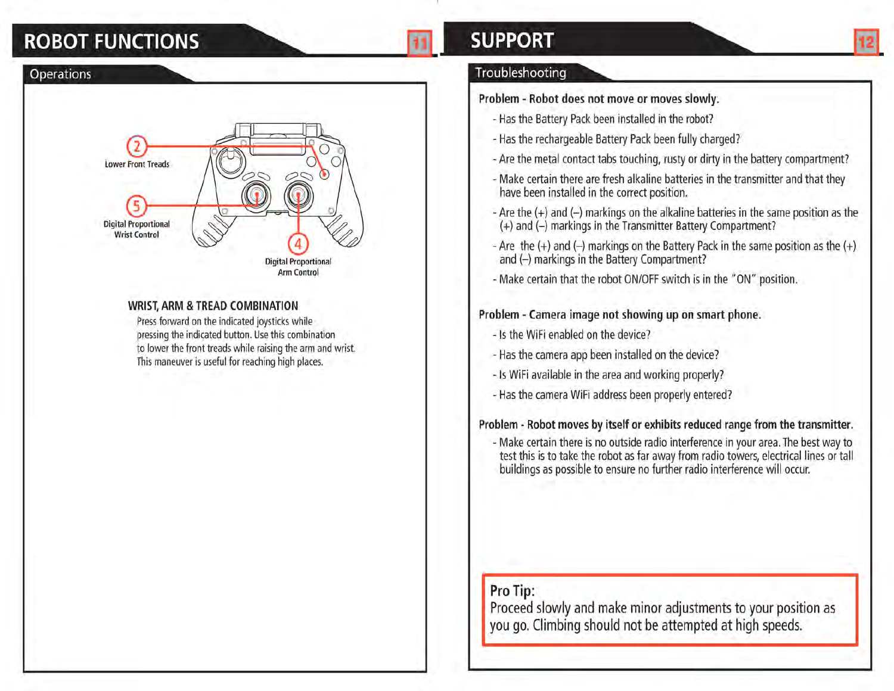# **ROBOT FUNCTIONS**



### **WRIST, ARM & TREAD COMBINATION**

Press forward on the indicated joysticks while pressing the indicated button. Use this combination to lower the front treads while raising the arm and wrist. This maneuver is useful for reaching high places.

# **SUPPORT**

## Troubleshooting

### Problem - Robot does not move or moves slowly.

- Has the Battery Pack been installed in the robot?
- Has the rechargeable Battery Pack been fully charged?
- Are the metal contact tabs touching, rusty or dirty in the battery compartment?
- Make certain there are fresh alkaline batteries in the transmitter and that they have been installed in the correct position.
- Are the (+) and (-) markings on the alkaline batteries in the same position as the (+) and (-) markings in the Transmitter Battery Compartment?
- Are the  $(+)$  and  $(-)$  markings on the Battery Pack in the same position as the  $(+)$ and (-) markings in the Battery Compartment?
- Make certain that the robot ON/OFF switch is in the "ON" position.

## Problem - Camera image not showing up on smart phone.

- Is the WiFi enabled on the device?
- Has the camera app been installed on the device?
- Is WiFi available in the area and working properly?
- Has the camera WiFi address been properly entered?

## Problem - Robot moves by itself or exhibits reduced range from the transmitter.

- Make certain there is no outside radio interference in your area. The best way to test this is to take the robot as far away from radio towers, electrical lines or tall buildings as possible to ensure no further radio interference will occur.

## Pro Tip:

Proceed slowly and make minor adjustments to your position as you go. Climbing should not be attempted at high speeds.